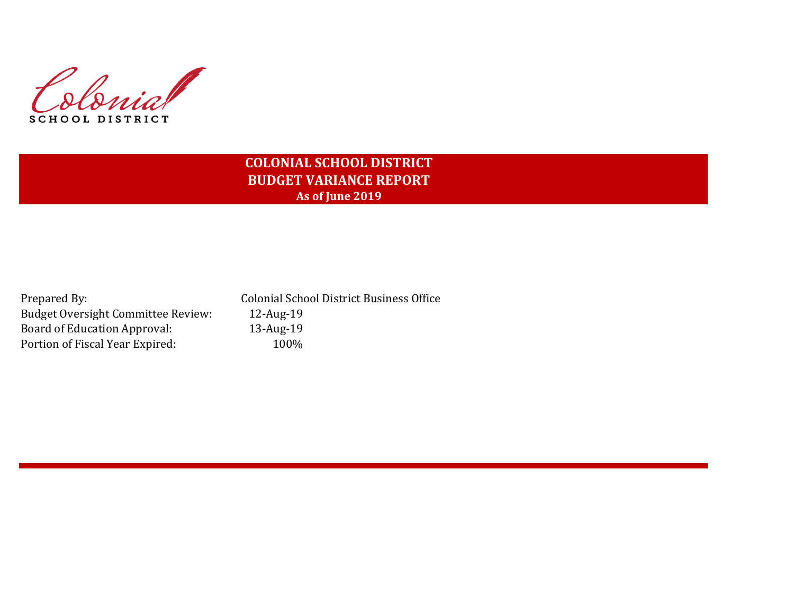

# **COLONIAL SCHOOL DISTRICT BUDGET VARIANCE REPORT As of June 2019**

| Prepared By:                              |
|-------------------------------------------|
| <b>Budget Oversight Committee Review:</b> |
| <b>Board of Education Approval:</b>       |
| Portion of Fiscal Year Expired:           |

Colonial School District Business Office 12-Aug-19 13-Aug-19  $100%$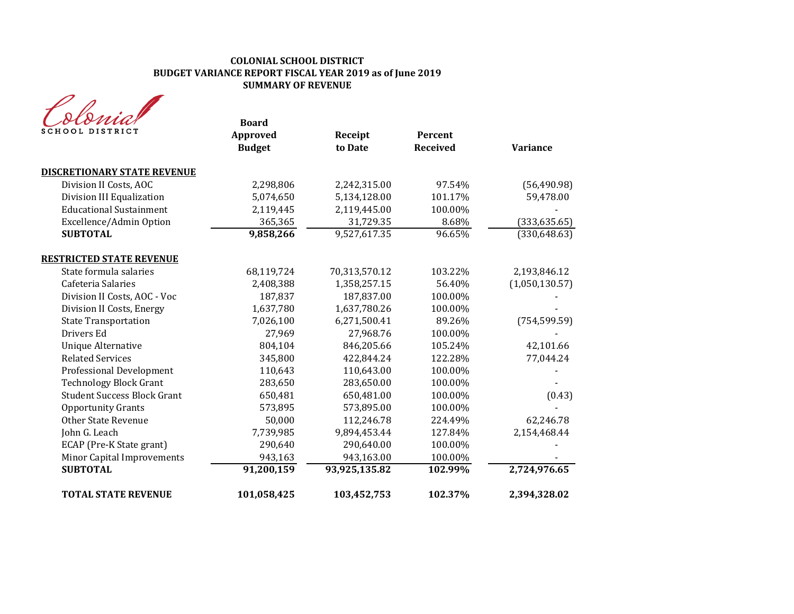| SCHOOL DISTRICT                    | <b>Board</b><br>Approved<br><b>Budget</b> | Receipt<br>to Date | Percent<br><b>Received</b> | <b>Variance</b> |
|------------------------------------|-------------------------------------------|--------------------|----------------------------|-----------------|
| <b>DISCRETIONARY STATE REVENUE</b> |                                           |                    |                            |                 |
| Division II Costs, AOC             | 2,298,806                                 | 2,242,315.00       | 97.54%                     | (56, 490.98)    |
| Division III Equalization          | 5,074,650                                 | 5,134,128.00       | 101.17%                    | 59,478.00       |
| <b>Educational Sustainment</b>     | 2,119,445                                 | 2,119,445.00       | 100.00%                    |                 |
| Excellence/Admin Option            | 365,365                                   | 31,729.35          | 8.68%                      | (333, 635.65)   |
| <b>SUBTOTAL</b>                    | 9,858,266                                 | 9,527,617.35       | 96.65%                     | (330, 648.63)   |
| <b>RESTRICTED STATE REVENUE</b>    |                                           |                    |                            |                 |
| State formula salaries             | 68,119,724                                | 70,313,570.12      | 103.22%                    | 2,193,846.12    |
| Cafeteria Salaries                 | 2,408,388                                 | 1,358,257.15       | 56.40%                     | (1,050,130.57)  |
| Division II Costs, AOC - Voc       | 187,837                                   | 187,837.00         | 100.00%                    |                 |
| Division II Costs, Energy          | 1,637,780                                 | 1,637,780.26       | 100.00%                    |                 |
| <b>State Transportation</b>        | 7,026,100                                 | 6,271,500.41       | 89.26%                     | (754, 599.59)   |
| Drivers Ed                         | 27,969                                    | 27,968.76          | 100.00%                    |                 |
| <b>Unique Alternative</b>          | 804,104                                   | 846,205.66         | 105.24%                    | 42,101.66       |
| <b>Related Services</b>            | 345,800                                   | 422,844.24         | 122.28%                    | 77,044.24       |
| <b>Professional Development</b>    | 110,643                                   | 110,643.00         | 100.00%                    |                 |
| <b>Technology Block Grant</b>      | 283,650                                   | 283,650.00         | 100.00%                    |                 |
| <b>Student Success Block Grant</b> | 650,481                                   | 650,481.00         | 100.00%                    | (0.43)          |
| <b>Opportunity Grants</b>          | 573,895                                   | 573,895.00         | 100.00%                    |                 |
| <b>Other State Revenue</b>         | 50,000                                    | 112,246.78         | 224.49%                    | 62,246.78       |
| John G. Leach                      | 7,739,985                                 | 9,894,453.44       | 127.84%                    | 2,154,468.44    |
| ECAP (Pre-K State grant)           | 290,640                                   | 290,640.00         | 100.00%                    |                 |
| Minor Capital Improvements         | 943,163                                   | 943,163.00         | 100.00%                    |                 |
| <b>SUBTOTAL</b>                    | 91,200,159                                | 93,925,135.82      | 102.99%                    | 2,724,976.65    |
| <b>TOTAL STATE REVENUE</b>         | 101,058,425                               | 103,452,753        | 102.37%                    | 2,394,328.02    |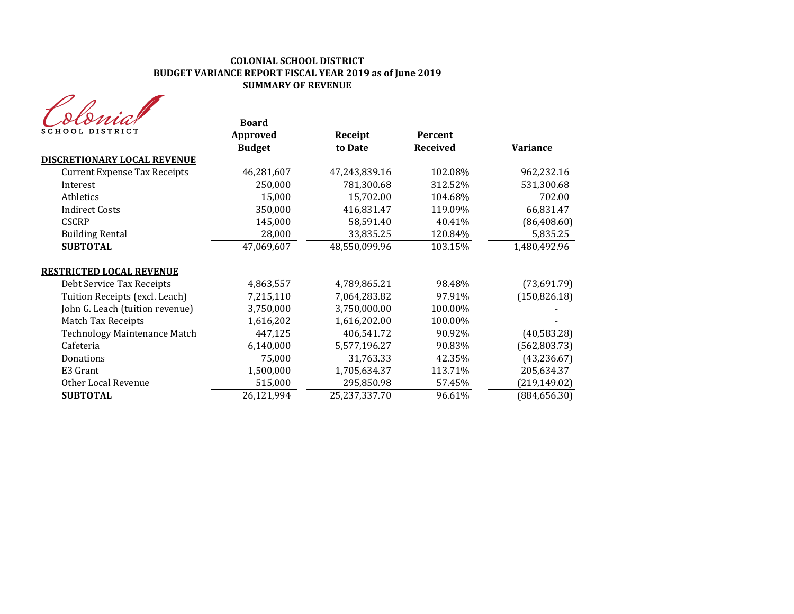

| oionav<br>SCHOOL DISTRICT           | <b>Board</b><br>Approved<br><b>Budget</b> | Receipt<br>to Date | Percent<br><b>Received</b> | <b>Variance</b> |
|-------------------------------------|-------------------------------------------|--------------------|----------------------------|-----------------|
| <b>DISCRETIONARY LOCAL REVENUE</b>  |                                           |                    |                            |                 |
| <b>Current Expense Tax Receipts</b> | 46,281,607                                | 47,243,839.16      | 102.08%                    | 962,232.16      |
| Interest                            | 250,000                                   | 781,300.68         | 312.52%                    | 531,300.68      |
| Athletics                           | 15,000                                    | 15,702.00          | 104.68%                    | 702.00          |
| <b>Indirect Costs</b>               | 350,000                                   | 416,831.47         | 119.09%                    | 66,831.47       |
| <b>CSCRP</b>                        | 145,000                                   | 58,591.40          | 40.41%                     | (86, 408.60)    |
| <b>Building Rental</b>              | 28,000                                    | 33,835.25          | 120.84%                    | 5,835.25        |
| <b>SUBTOTAL</b>                     | 47,069,607                                | 48,550,099.96      | 103.15%                    | 1,480,492.96    |
| <u>RESTRICTED LOCAL REVENUE</u>     |                                           |                    |                            |                 |
| Debt Service Tax Receipts           | 4,863,557                                 | 4,789,865.21       | 98.48%                     | (73,691.79)     |
| Tuition Receipts (excl. Leach)      | 7,215,110                                 | 7,064,283.82       | 97.91%                     | (150, 826.18)   |
| John G. Leach (tuition revenue)     | 3,750,000                                 | 3,750,000.00       | 100.00%                    |                 |
| <b>Match Tax Receipts</b>           | 1,616,202                                 | 1,616,202.00       | 100.00%                    |                 |
| <b>Technology Maintenance Match</b> | 447,125                                   | 406,541.72         | 90.92%                     | (40, 583.28)    |
| Cafeteria                           | 6,140,000                                 | 5,577,196.27       | 90.83%                     | (562, 803.73)   |
| Donations                           | 75,000                                    | 31,763.33          | 42.35%                     | (43, 236.67)    |
| E3 Grant                            | 1,500,000                                 | 1,705,634.37       | 113.71%                    | 205,634.37      |
| Other Local Revenue                 | 515,000                                   | 295,850.98         | 57.45%                     | (219, 149.02)   |
| <b>SUBTOTAL</b>                     | 26,121,994                                | 25,237,337.70      | 96.61%                     | (884, 656.30)   |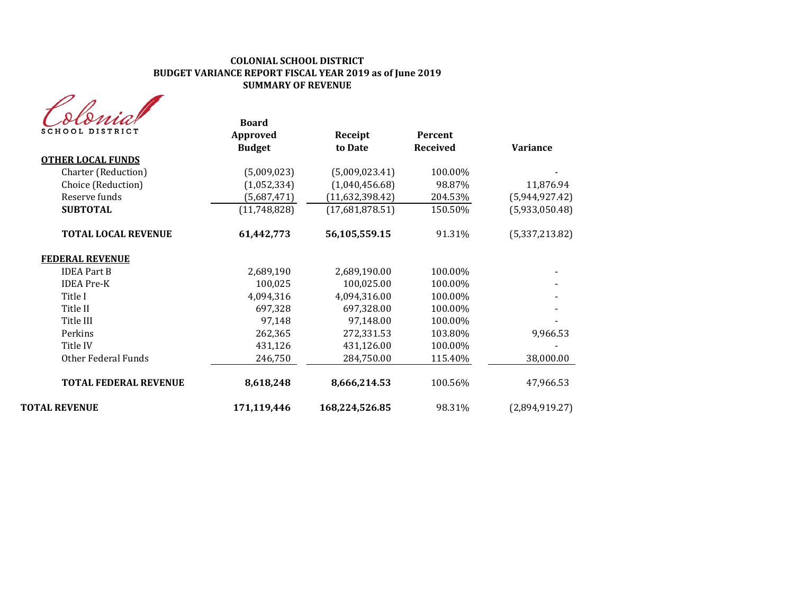| <b>SCHOOL DISTRICT</b>       | <b>Board</b><br>Approved<br><b>Budget</b> | Receipt<br>to Date | <b>Percent</b><br><b>Received</b> | <b>Variance</b> |
|------------------------------|-------------------------------------------|--------------------|-----------------------------------|-----------------|
| <b>OTHER LOCAL FUNDS</b>     |                                           |                    |                                   |                 |
| Charter (Reduction)          | (5,009,023)                               | (5,009,023.41)     | 100.00%                           |                 |
| Choice (Reduction)           | (1,052,334)                               | (1,040,456.68)     | 98.87%                            | 11,876.94       |
| Reserve funds                | (5,687,471)                               | (11,632,398.42)    | 204.53%                           | (5,944,927.42)  |
| <b>SUBTOTAL</b>              | (11,748,828)                              | (17,681,878.51)    | 150.50%                           | (5,933,050.48)  |
| <b>TOTAL LOCAL REVENUE</b>   | 61,442,773                                | 56,105,559.15      | 91.31%                            | (5,337,213.82)  |
| <b>FEDERAL REVENUE</b>       |                                           |                    |                                   |                 |
| <b>IDEA Part B</b>           | 2,689,190                                 | 2,689,190.00       | 100.00%                           |                 |
| <b>IDEA</b> Pre-K            | 100,025                                   | 100,025.00         | 100.00%                           |                 |
| Title I                      | 4,094,316                                 | 4,094,316.00       | 100.00%                           |                 |
| Title II                     | 697,328                                   | 697,328.00         | 100.00%                           |                 |
| Title III                    | 97,148                                    | 97,148.00          | 100.00%                           |                 |
| Perkins                      | 262,365                                   | 272,331.53         | 103.80%                           | 9,966.53        |
| Title IV                     | 431,126                                   | 431,126.00         | 100.00%                           |                 |
| <b>Other Federal Funds</b>   | 246,750                                   | 284,750.00         | 115.40%                           | 38,000.00       |
| <b>TOTAL FEDERAL REVENUE</b> | 8,618,248                                 | 8,666,214.53       | 100.56%                           | 47,966.53       |
| TOTAL REVENUE                | 171,119,446                               | 168,224,526.85     | 98.31%                            | (2,894,919.27)  |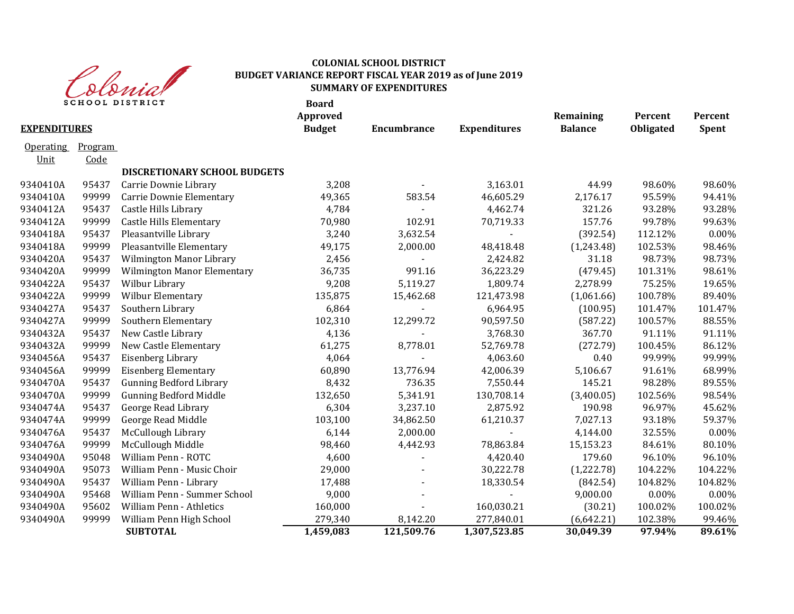

| <b>EXPENDITURES</b> |         | <b>SCHOOL DISTRICT</b>              | <b>Board</b><br>Approved<br><b>Budget</b> | Encumbrance    | <b>Expenditures</b> | Remaining<br><b>Balance</b> | Percent<br><b>Obligated</b> | Percent<br><b>Spent</b> |
|---------------------|---------|-------------------------------------|-------------------------------------------|----------------|---------------------|-----------------------------|-----------------------------|-------------------------|
| <b>Operating</b>    | Program |                                     |                                           |                |                     |                             |                             |                         |
| <u>Unit</u>         | Code    |                                     |                                           |                |                     |                             |                             |                         |
|                     |         | <b>DISCRETIONARY SCHOOL BUDGETS</b> |                                           |                |                     |                             |                             |                         |
| 9340410A            | 95437   | Carrie Downie Library               | 3,208                                     |                | 3,163.01            | 44.99                       | 98.60%                      | 98.60%                  |
| 9340410A            | 99999   | Carrie Downie Elementary            | 49,365                                    | 583.54         | 46,605.29           | 2,176.17                    | 95.59%                      | 94.41%                  |
| 9340412A            | 95437   | Castle Hills Library                | 4,784                                     | $\blacksquare$ | 4,462.74            | 321.26                      | 93.28%                      | 93.28%                  |
| 9340412A            | 99999   | <b>Castle Hills Elementary</b>      | 70,980                                    | 102.91         | 70,719.33           | 157.76                      | 99.78%                      | 99.63%                  |
| 9340418A            | 95437   | Pleasantville Library               | 3,240                                     | 3,632.54       |                     | (392.54)                    | 112.12%                     | 0.00%                   |
| 9340418A            | 99999   | Pleasantville Elementary            | 49,175                                    | 2,000.00       | 48,418.48           | (1,243.48)                  | 102.53%                     | 98.46%                  |
| 9340420A            | 95437   | Wilmington Manor Library            | 2,456                                     |                | 2,424.82            | 31.18                       | 98.73%                      | 98.73%                  |
| 9340420A            | 99999   | <b>Wilmington Manor Elementary</b>  | 36,735                                    | 991.16         | 36,223.29           | (479.45)                    | 101.31%                     | 98.61%                  |
| 9340422A            | 95437   | Wilbur Library                      | 9,208                                     | 5,119.27       | 1,809.74            | 2,278.99                    | 75.25%                      | 19.65%                  |
| 9340422A            | 99999   | Wilbur Elementary                   | 135,875                                   | 15,462.68      | 121,473.98          | (1,061.66)                  | 100.78%                     | 89.40%                  |
| 9340427A            | 95437   | Southern Library                    | 6,864                                     |                | 6,964.95            | (100.95)                    | 101.47%                     | 101.47%                 |
| 9340427A            | 99999   | Southern Elementary                 | 102,310                                   | 12,299.72      | 90,597.50           | (587.22)                    | 100.57%                     | 88.55%                  |
| 9340432A            | 95437   | New Castle Library                  | 4,136                                     |                | 3,768.30            | 367.70                      | 91.11%                      | 91.11%                  |
| 9340432A            | 99999   | New Castle Elementary               | 61,275                                    | 8,778.01       | 52,769.78           | (272.79)                    | 100.45%                     | 86.12%                  |
| 9340456A            | 95437   | Eisenberg Library                   | 4,064                                     |                | 4,063.60            | 0.40                        | 99.99%                      | 99.99%                  |
| 9340456A            | 99999   | <b>Eisenberg Elementary</b>         | 60,890                                    | 13,776.94      | 42,006.39           | 5,106.67                    | 91.61%                      | 68.99%                  |
| 9340470A            | 95437   | <b>Gunning Bedford Library</b>      | 8,432                                     | 736.35         | 7,550.44            | 145.21                      | 98.28%                      | 89.55%                  |
| 9340470A            | 99999   | <b>Gunning Bedford Middle</b>       | 132,650                                   | 5,341.91       | 130,708.14          | (3,400.05)                  | 102.56%                     | 98.54%                  |
| 9340474A            | 95437   | George Read Library                 | 6,304                                     | 3,237.10       | 2,875.92            | 190.98                      | 96.97%                      | 45.62%                  |
| 9340474A            | 99999   | George Read Middle                  | 103,100                                   | 34,862.50      | 61,210.37           | 7,027.13                    | 93.18%                      | 59.37%                  |
| 9340476A            | 95437   | McCullough Library                  | 6,144                                     | 2,000.00       |                     | 4,144.00                    | 32.55%                      | 0.00%                   |
| 9340476A            | 99999   | McCullough Middle                   | 98,460                                    | 4,442.93       | 78,863.84           | 15,153.23                   | 84.61%                      | 80.10%                  |
| 9340490A            | 95048   | William Penn - ROTC                 | 4,600                                     |                | 4,420.40            | 179.60                      | 96.10%                      | 96.10%                  |
| 9340490A            | 95073   | William Penn - Music Choir          | 29,000                                    |                | 30,222.78           | (1,222.78)                  | 104.22%                     | 104.22%                 |
| 9340490A            | 95437   | William Penn - Library              | 17,488                                    |                | 18,330.54           | (842.54)                    | 104.82%                     | 104.82%                 |
| 9340490A            | 95468   | William Penn - Summer School        | 9,000                                     |                |                     | 9,000.00                    | 0.00%                       | 0.00%                   |
| 9340490A            | 95602   | <b>William Penn - Athletics</b>     | 160,000                                   |                | 160,030.21          | (30.21)                     | 100.02%                     | 100.02%                 |
| 9340490A            | 99999   | William Penn High School            | 279,340                                   | 8,142.20       | 277,840.01          | (6, 642.21)                 | 102.38%                     | 99.46%                  |
|                     |         | <b>SUBTOTAL</b>                     | 1,459,083                                 | 121,509.76     | 1,307,523.85        | 30,049.39                   | 97.94%                      | 89.61%                  |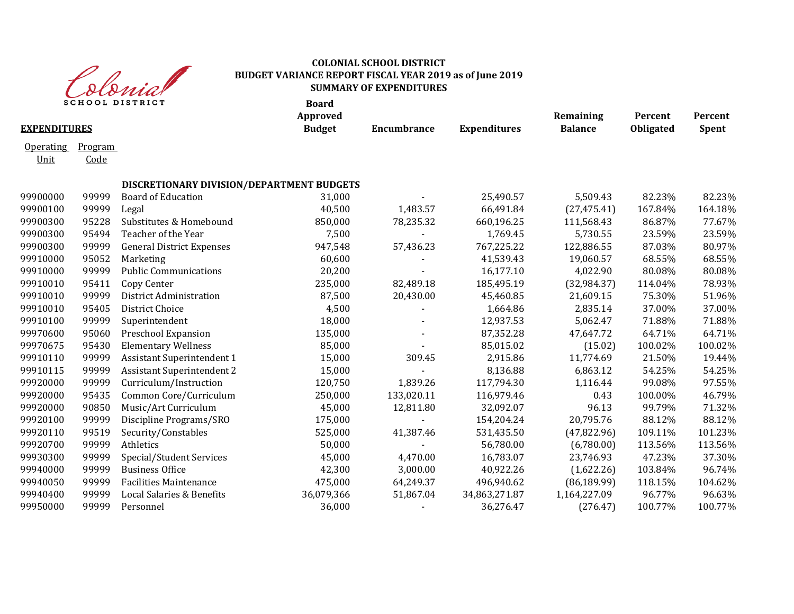

|                          |                 | <b>SCHOOL DISTRICT</b>                    | <b>Board</b><br>Approved |             |                     | Remaining      | Percent   | Percent      |
|--------------------------|-----------------|-------------------------------------------|--------------------------|-------------|---------------------|----------------|-----------|--------------|
| <b>EXPENDITURES</b>      |                 |                                           | <b>Budget</b>            | Encumbrance | <b>Expenditures</b> | <b>Balance</b> | Obligated | <b>Spent</b> |
| <b>Operating</b><br>Unit | Program<br>Code |                                           |                          |             |                     |                |           |              |
|                          |                 | DISCRETIONARY DIVISION/DEPARTMENT BUDGETS |                          |             |                     |                |           |              |
| 99900000                 | 99999           | <b>Board of Education</b>                 | 31,000                   |             | 25,490.57           | 5,509.43       | 82.23%    | 82.23%       |
| 99900100                 | 99999           | Legal                                     | 40,500                   | 1,483.57    | 66,491.84           | (27, 475.41)   | 167.84%   | 164.18%      |
| 99900300                 | 95228           | Substitutes & Homebound                   | 850,000                  | 78,235.32   | 660,196.25          | 111,568.43     | 86.87%    | 77.67%       |
| 99900300                 | 95494           | Teacher of the Year                       | 7,500                    |             | 1,769.45            | 5,730.55       | 23.59%    | 23.59%       |
| 99900300                 | 99999           | <b>General District Expenses</b>          | 947,548                  | 57,436.23   | 767,225.22          | 122,886.55     | 87.03%    | 80.97%       |
| 99910000                 | 95052           | Marketing                                 | 60,600                   | $\sim$      | 41,539.43           | 19,060.57      | 68.55%    | 68.55%       |
| 99910000                 | 99999           | <b>Public Communications</b>              | 20,200                   |             | 16,177.10           | 4,022.90       | 80.08%    | 80.08%       |
| 99910010                 | 95411           | Copy Center                               | 235,000                  | 82,489.18   | 185,495.19          | (32, 984.37)   | 114.04%   | 78.93%       |
| 99910010                 | 99999           | District Administration                   | 87,500                   | 20,430.00   | 45,460.85           | 21,609.15      | 75.30%    | 51.96%       |
| 99910010                 | 95405           | District Choice                           | 4,500                    |             | 1,664.86            | 2,835.14       | 37.00%    | 37.00%       |
| 99910100                 | 99999           | Superintendent                            | 18,000                   |             | 12,937.53           | 5,062.47       | 71.88%    | 71.88%       |
| 99970600                 | 95060           | Preschool Expansion                       | 135,000                  |             | 87,352.28           | 47,647.72      | 64.71%    | 64.71%       |
| 99970675                 | 95430           | <b>Elementary Wellness</b>                | 85,000                   |             | 85,015.02           | (15.02)        | 100.02%   | 100.02%      |
| 99910110                 | 99999           | Assistant Superintendent 1                | 15,000                   | 309.45      | 2,915.86            | 11,774.69      | 21.50%    | 19.44%       |
| 99910115                 | 99999           | <b>Assistant Superintendent 2</b>         | 15,000                   |             | 8,136.88            | 6,863.12       | 54.25%    | 54.25%       |
| 99920000                 | 99999           | Curriculum/Instruction                    | 120,750                  | 1,839.26    | 117,794.30          | 1,116.44       | 99.08%    | 97.55%       |
| 99920000                 | 95435           | Common Core/Curriculum                    | 250,000                  | 133,020.11  | 116,979.46          | 0.43           | 100.00%   | 46.79%       |
| 99920000                 | 90850           | Music/Art Curriculum                      | 45,000                   | 12,811.80   | 32,092.07           | 96.13          | 99.79%    | 71.32%       |
| 99920100                 | 99999           | Discipline Programs/SRO                   | 175,000                  |             | 154,204.24          | 20,795.76      | 88.12%    | 88.12%       |
| 99920110                 | 99519           | Security/Constables                       | 525,000                  | 41,387.46   | 531,435.50          | (47, 822.96)   | 109.11%   | 101.23%      |
| 99920700                 | 99999           | Athletics                                 | 50,000                   |             | 56,780.00           | (6,780.00)     | 113.56%   | 113.56%      |
| 99930300                 | 99999           | Special/Student Services                  | 45,000                   | 4,470.00    | 16,783.07           | 23,746.93      | 47.23%    | 37.30%       |
| 99940000                 | 99999           | <b>Business Office</b>                    | 42,300                   | 3,000.00    | 40,922.26           | (1,622.26)     | 103.84%   | 96.74%       |
| 99940050                 | 99999           | <b>Facilities Maintenance</b>             | 475,000                  | 64,249.37   | 496,940.62          | (86, 189.99)   | 118.15%   | 104.62%      |
| 99940400                 | 99999           | Local Salaries & Benefits                 | 36,079,366               | 51,867.04   | 34,863,271.87       | 1,164,227.09   | 96.77%    | 96.63%       |
| 99950000                 | 99999           | Personnel                                 | 36,000                   |             | 36,276.47           | (276.47)       | 100.77%   | 100.77%      |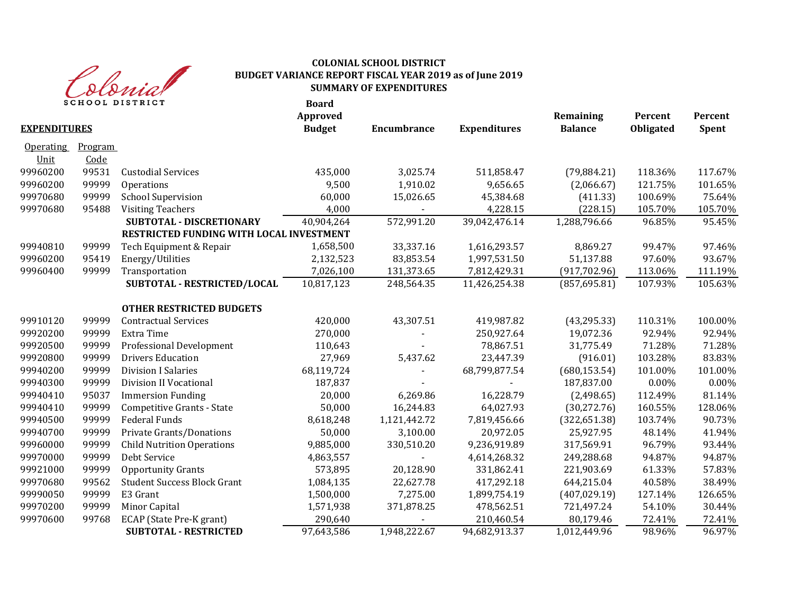

| <b>EXPENDITURES</b> |                | <b>SCHOOL DISTRICT</b>                   | <b>Board</b><br>Approved<br><b>Budget</b> | <b>Encumbrance</b> | <b>Expenditures</b> | Remaining<br><b>Balance</b> | Percent<br>Obligated | Percent<br>Spent |
|---------------------|----------------|------------------------------------------|-------------------------------------------|--------------------|---------------------|-----------------------------|----------------------|------------------|
|                     |                |                                          |                                           |                    |                     |                             |                      |                  |
| <b>Operating</b>    | <u>Program</u> |                                          |                                           |                    |                     |                             |                      |                  |
| Unit                | Code           |                                          |                                           |                    |                     |                             |                      |                  |
| 99960200            | 99531          | <b>Custodial Services</b>                | 435,000                                   | 3,025.74           | 511,858.47          | (79, 884.21)                | 118.36%              | 117.67%          |
| 99960200            | 99999          | Operations                               | 9,500                                     | 1,910.02           | 9,656.65            | (2,066.67)                  | 121.75%              | 101.65%          |
| 99970680            | 99999          | <b>School Supervision</b>                | 60,000                                    | 15,026.65          | 45,384.68           | (411.33)                    | 100.69%              | 75.64%           |
| 99970680            | 95488          | <b>Visiting Teachers</b>                 | 4,000                                     |                    | 4,228.15            | (228.15)                    | 105.70%              | 105.70%          |
|                     |                | <b>SUBTOTAL - DISCRETIONARY</b>          | 40,904,264                                | 572,991.20         | 39,042,476.14       | 1,288,796.66                | 96.85%               | 95.45%           |
|                     |                | RESTRICTED FUNDING WITH LOCAL INVESTMENT |                                           |                    |                     |                             |                      |                  |
| 99940810            | 99999          | Tech Equipment & Repair                  | 1,658,500                                 | 33,337.16          | 1,616,293.57        | 8,869.27                    | 99.47%               | 97.46%           |
| 99960200            | 95419          | Energy/Utilities                         | 2,132,523                                 | 83,853.54          | 1,997,531.50        | 51,137.88                   | 97.60%               | 93.67%           |
| 99960400            | 99999          | Transportation                           | 7,026,100                                 | 131,373.65         | 7,812,429.31        | (917, 702.96)               | 113.06%              | 111.19%          |
|                     |                | SUBTOTAL - RESTRICTED/LOCAL              | 10,817,123                                | 248,564.35         | 11,426,254.38       | (857, 695.81)               | 107.93%              | 105.63%          |
|                     |                | <b>OTHER RESTRICTED BUDGETS</b>          |                                           |                    |                     |                             |                      |                  |
| 99910120            | 99999          | <b>Contractual Services</b>              | 420,000                                   | 43,307.51          | 419,987.82          | (43, 295.33)                | 110.31%              | 100.00%          |
| 99920200            | 99999          | Extra Time                               | 270,000                                   |                    | 250,927.64          | 19,072.36                   | 92.94%               | 92.94%           |
| 99920500            | 99999          | Professional Development                 | 110,643                                   |                    | 78,867.51           | 31,775.49                   | 71.28%               | 71.28%           |
| 99920800            | 99999          | <b>Drivers Education</b>                 | 27,969                                    | 5,437.62           | 23,447.39           | (916.01)                    | 103.28%              | 83.83%           |
| 99940200            | 99999          | <b>Division I Salaries</b>               | 68,119,724                                |                    | 68,799,877.54       | (680, 153.54)               | 101.00%              | 101.00%          |
| 99940300            | 99999          | <b>Division II Vocational</b>            | 187,837                                   |                    |                     | 187,837.00                  | 0.00%                | 0.00%            |
| 99940410            | 95037          | <b>Immersion Funding</b>                 | 20,000                                    | 6,269.86           | 16,228.79           | (2,498.65)                  | 112.49%              | 81.14%           |
| 99940410            | 99999          | Competitive Grants - State               | 50,000                                    | 16,244.83          | 64,027.93           | (30, 272.76)                | 160.55%              | 128.06%          |
| 99940500            | 99999          | <b>Federal Funds</b>                     | 8,618,248                                 | 1,121,442.72       | 7,819,456.66        | (322, 651.38)               | 103.74%              | 90.73%           |
| 99940700            | 99999          | Private Grants/Donations                 | 50,000                                    | 3,100.00           | 20,972.05           | 25,927.95                   | 48.14%               | 41.94%           |
| 99960000            | 99999          | <b>Child Nutrition Operations</b>        | 9,885,000                                 | 330,510.20         | 9,236,919.89        | 317,569.91                  | 96.79%               | 93.44%           |
| 99970000            | 99999          | Debt Service                             | 4,863,557                                 |                    | 4,614,268.32        | 249,288.68                  | 94.87%               | 94.87%           |
| 99921000            | 99999          | <b>Opportunity Grants</b>                | 573,895                                   | 20,128.90          | 331,862.41          | 221,903.69                  | 61.33%               | 57.83%           |
| 99970680            | 99562          | <b>Student Success Block Grant</b>       | 1,084,135                                 | 22,627.78          | 417,292.18          | 644,215.04                  | 40.58%               | 38.49%           |
| 99990050            | 99999          | E3 Grant                                 | 1,500,000                                 | 7,275.00           | 1,899,754.19        | (407, 029.19)               | 127.14%              | 126.65%          |
| 99970200            | 99999          | Minor Capital                            | 1,571,938                                 | 371,878.25         | 478,562.51          | 721,497.24                  | 54.10%               | 30.44%           |
| 99970600            | 99768          | ECAP (State Pre-K grant)                 | 290,640                                   |                    | 210,460.54          | 80,179.46                   | 72.41%               | 72.41%           |
|                     |                | <b>SUBTOTAL - RESTRICTED</b>             | 97,643,586                                | 1,948,222.67       | 94,682,913.37       | 1,012,449.96                | 98.96%               | 96.97%           |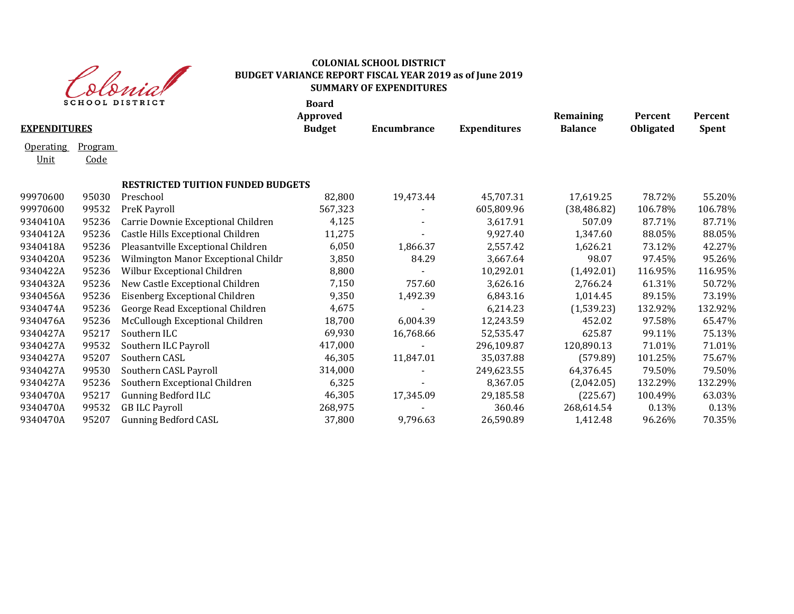

| <b>SCHOOL DISTRICT</b> |                |                                          | <b>Board</b><br>Approved |                    |                     | Remaining      | Percent   | Percent      |
|------------------------|----------------|------------------------------------------|--------------------------|--------------------|---------------------|----------------|-----------|--------------|
| <b>EXPENDITURES</b>    |                |                                          | <b>Budget</b>            | <b>Encumbrance</b> | <b>Expenditures</b> | <b>Balance</b> | Obligated | <b>Spent</b> |
| <b>Operating</b>       | <u>Program</u> |                                          |                          |                    |                     |                |           |              |
| Unit                   | Code           |                                          |                          |                    |                     |                |           |              |
|                        |                | <b>RESTRICTED TUITION FUNDED BUDGETS</b> |                          |                    |                     |                |           |              |
| 99970600               | 95030          | Preschool                                | 82,800                   | 19,473.44          | 45,707.31           | 17,619.25      | 78.72%    | 55.20%       |
| 99970600               | 99532          | PreK Payroll                             | 567,323                  |                    | 605,809.96          | (38, 486.82)   | 106.78%   | 106.78%      |
| 9340410A               | 95236          | Carrie Downie Exceptional Children       | 4,125                    |                    | 3,617.91            | 507.09         | 87.71%    | 87.71%       |
| 9340412A               | 95236          | Castle Hills Exceptional Children        | 11,275                   |                    | 9,927.40            | 1,347.60       | 88.05%    | 88.05%       |
| 9340418A               | 95236          | Pleasantville Exceptional Children       | 6,050                    | 1,866.37           | 2,557.42            | 1,626.21       | 73.12%    | 42.27%       |
| 9340420A               | 95236          | Wilmington Manor Exceptional Childr      | 3,850                    | 84.29              | 3,667.64            | 98.07          | 97.45%    | 95.26%       |
| 9340422A               | 95236          | Wilbur Exceptional Children              | 8,800                    |                    | 10,292.01           | (1,492.01)     | 116.95%   | 116.95%      |
| 9340432A               | 95236          | New Castle Exceptional Children          | 7,150                    | 757.60             | 3,626.16            | 2,766.24       | 61.31%    | 50.72%       |
| 9340456A               | 95236          | Eisenberg Exceptional Children           | 9,350                    | 1,492.39           | 6,843.16            | 1,014.45       | 89.15%    | 73.19%       |
| 9340474A               | 95236          | George Read Exceptional Children         | 4,675                    |                    | 6,214.23            | (1,539.23)     | 132.92%   | 132.92%      |
| 9340476A               | 95236          | McCullough Exceptional Children          | 18,700                   | 6,004.39           | 12,243.59           | 452.02         | 97.58%    | 65.47%       |
| 9340427A               | 95217          | Southern ILC                             | 69,930                   | 16,768.66          | 52,535.47           | 625.87         | 99.11%    | 75.13%       |
| 9340427A               | 99532          | Southern ILC Payroll                     | 417,000                  |                    | 296,109.87          | 120,890.13     | 71.01%    | 71.01%       |
| 9340427A               | 95207          | Southern CASL                            | 46,305                   | 11,847.01          | 35,037.88           | (579.89)       | 101.25%   | 75.67%       |
| 9340427A               | 99530          | Southern CASL Payroll                    | 314,000                  |                    | 249,623.55          | 64,376.45      | 79.50%    | 79.50%       |
| 9340427A               | 95236          | Southern Exceptional Children            | 6,325                    |                    | 8,367.05            | (2,042.05)     | 132.29%   | 132.29%      |
| 9340470A               | 95217          | <b>Gunning Bedford ILC</b>               | 46,305                   | 17,345.09          | 29,185.58           | (225.67)       | 100.49%   | 63.03%       |
| 9340470A               | 99532          | <b>GB ILC Payroll</b>                    | 268,975                  |                    | 360.46              | 268,614.54     | 0.13%     | 0.13%        |
| 9340470A               | 95207          | <b>Gunning Bedford CASL</b>              | 37,800                   | 9,796.63           | 26,590.89           | 1,412.48       | 96.26%    | 70.35%       |
|                        |                |                                          |                          |                    |                     |                |           |              |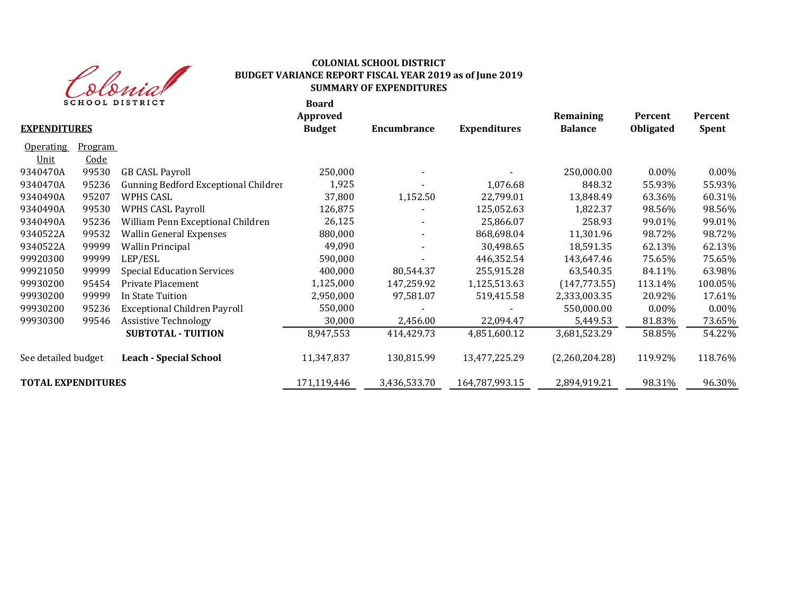

| SCHOOL DISTRICT           |         |                                      | <b>Board</b>              |              |                     |                             |                             |                         |
|---------------------------|---------|--------------------------------------|---------------------------|--------------|---------------------|-----------------------------|-----------------------------|-------------------------|
| <b>EXPENDITURES</b>       |         |                                      | Approved<br><b>Budget</b> | Encumbrance  | <b>Expenditures</b> | Remaining<br><b>Balance</b> | Percent<br><b>Obligated</b> | Percent<br><b>Spent</b> |
| <b>Operating</b>          | Program |                                      |                           |              |                     |                             |                             |                         |
| Unit                      | Code    |                                      |                           |              |                     |                             |                             |                         |
| 9340470A                  | 99530   | <b>GB CASL Payroll</b>               | 250,000                   |              |                     | 250,000.00                  | $0.00\%$                    | 0.00%                   |
| 9340470A                  | 95236   | Gunning Bedford Exceptional Childrer | 1,925                     |              | 1,076.68            | 848.32                      | 55.93%                      | 55.93%                  |
| 9340490A                  | 95207   | WPHS CASL                            | 37,800                    | 1,152.50     | 22,799.01           | 13,848.49                   | 63.36%                      | 60.31%                  |
| 9340490A                  | 99530   | WPHS CASL Payroll                    | 126,875                   |              | 125,052.63          | 1,822.37                    | 98.56%                      | 98.56%                  |
| 9340490A                  | 95236   | William Penn Exceptional Children    | 26,125                    |              | 25,866.07           | 258.93                      | 99.01%                      | 99.01%                  |
| 9340522A                  | 99532   | <b>Wallin General Expenses</b>       | 880,000                   |              | 868,698.04          | 11,301.96                   | 98.72%                      | 98.72%                  |
| 9340522A                  | 99999   | <b>Wallin Principal</b>              | 49,090                    |              | 30,498.65           | 18,591.35                   | 62.13%                      | 62.13%                  |
| 99920300                  | 99999   | LEP/ESL                              | 590,000                   |              | 446,352.54          | 143,647.46                  | 75.65%                      | 75.65%                  |
| 99921050                  | 99999   | <b>Special Education Services</b>    | 400,000                   | 80,544.37    | 255,915.28          | 63,540.35                   | 84.11%                      | 63.98%                  |
| 99930200                  | 95454   | Private Placement                    | 1,125,000                 | 147,259.92   | 1,125,513.63        | (147, 773.55)               | 113.14%                     | 100.05%                 |
| 99930200                  | 99999   | In State Tuition                     | 2,950,000                 | 97,581.07    | 519,415.58          | 2,333,003.35                | 20.92%                      | 17.61%                  |
| 99930200                  | 95236   | <b>Exceptional Children Payroll</b>  | 550,000                   |              |                     | 550,000.00                  | $0.00\%$                    | 0.00%                   |
| 99930300                  | 99546   | <b>Assistive Technology</b>          | 30,000                    | 2,456.00     | 22,094.47           | 5,449.53                    | 81.83%                      | 73.65%                  |
|                           |         | <b>SUBTOTAL - TUITION</b>            | 8,947,553                 | 414,429.73   | 4,851,600.12        | 3,681,523.29                | 58.85%                      | 54.22%                  |
| See detailed budget       |         | <b>Leach - Special School</b>        | 11,347,837                | 130,815.99   | 13,477,225.29       | (2,260,204.28)              | 119.92%                     | 118.76%                 |
| <b>TOTAL EXPENDITURES</b> |         |                                      | 171,119,446               | 3,436,533.70 | 164,787,993.15      | 2,894,919.21                | 98.31%                      | 96.30%                  |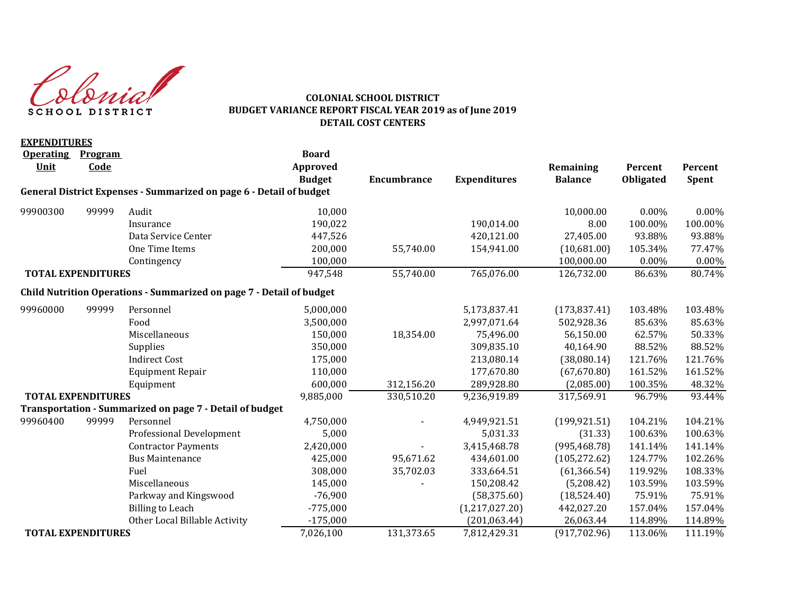Colonial **SCHOOL DISTRICT** 

#### **COLONIAL SCHOOL DISTRICT BUDGET VARIANCE REPORT FISCAL YEAR 2019 as of June 2019 DETAIL COST CENTERS**

| <b>EXPENDITURES</b>       |                 |                                                                      |                                           |                    |                     |                             |                             |                         |
|---------------------------|-----------------|----------------------------------------------------------------------|-------------------------------------------|--------------------|---------------------|-----------------------------|-----------------------------|-------------------------|
| <b>Operating</b><br>Unit  | Program<br>Code |                                                                      | <b>Board</b><br>Approved<br><b>Budget</b> | <b>Encumbrance</b> | <b>Expenditures</b> | Remaining<br><b>Balance</b> | Percent<br><b>Obligated</b> | Percent<br><b>Spent</b> |
|                           |                 | General District Expenses - Summarized on page 6 - Detail of budget  |                                           |                    |                     |                             |                             |                         |
| 99900300                  | 99999           | Audit                                                                | 10,000                                    |                    |                     | 10,000.00                   | 0.00%                       | $0.00\%$                |
|                           |                 | Insurance                                                            | 190,022                                   |                    | 190,014.00          | 8.00                        | 100.00%                     | 100.00%                 |
|                           |                 | Data Service Center                                                  | 447,526                                   |                    | 420,121.00          | 27,405.00                   | 93.88%                      | 93.88%                  |
|                           |                 | One Time Items                                                       | 200,000                                   | 55,740.00          | 154,941.00          | (10,681.00)                 | 105.34%                     | 77.47%                  |
|                           |                 | Contingency                                                          | 100,000                                   |                    |                     | 100,000.00                  | 0.00%                       | $0.00\%$                |
| <b>TOTAL EXPENDITURES</b> |                 |                                                                      | 947,548                                   | 55,740.00          | 765,076.00          | 126,732.00                  | 86.63%                      | 80.74%                  |
|                           |                 | Child Nutrition Operations - Summarized on page 7 - Detail of budget |                                           |                    |                     |                             |                             |                         |
| 99960000                  | 99999           | Personnel                                                            | 5,000,000                                 |                    | 5,173,837.41        | (173, 837.41)               | 103.48%                     | 103.48%                 |
|                           |                 | Food                                                                 | 3,500,000                                 |                    | 2,997,071.64        | 502,928.36                  | 85.63%                      | 85.63%                  |
|                           |                 | Miscellaneous                                                        | 150,000                                   | 18,354.00          | 75,496.00           | 56,150.00                   | 62.57%                      | 50.33%                  |
|                           |                 | Supplies                                                             | 350,000                                   |                    | 309,835.10          | 40,164.90                   | 88.52%                      | 88.52%                  |
|                           |                 | <b>Indirect Cost</b>                                                 | 175,000                                   |                    | 213,080.14          | (38,080.14)                 | 121.76%                     | 121.76%                 |
|                           |                 | <b>Equipment Repair</b>                                              | 110,000                                   |                    | 177,670.80          | (67, 670.80)                | 161.52%                     | 161.52%                 |
|                           |                 | Equipment                                                            | 600,000                                   | 312,156.20         | 289,928.80          | (2,085.00)                  | 100.35%                     | 48.32%                  |
| <b>TOTAL EXPENDITURES</b> |                 |                                                                      | 9,885,000                                 | 330,510.20         | 9,236,919.89        | 317,569.91                  | 96.79%                      | 93.44%                  |
|                           |                 | Transportation - Summarized on page 7 - Detail of budget             |                                           |                    |                     |                             |                             |                         |
| 99960400                  | 99999           | Personnel                                                            | 4,750,000                                 |                    | 4,949,921.51        | (199, 921.51)               | 104.21%                     | 104.21%                 |
|                           |                 | <b>Professional Development</b>                                      | 5,000                                     |                    | 5,031.33            | (31.33)                     | 100.63%                     | 100.63%                 |
|                           |                 | <b>Contractor Payments</b>                                           | 2,420,000                                 |                    | 3,415,468.78        | (995, 468.78)               | 141.14%                     | 141.14%                 |
|                           |                 | <b>Bus Maintenance</b>                                               | 425,000                                   | 95,671.62          | 434,601.00          | (105, 272.62)               | 124.77%                     | 102.26%                 |
|                           |                 | Fuel                                                                 | 308,000                                   | 35,702.03          | 333,664.51          | (61, 366.54)                | 119.92%                     | 108.33%                 |
|                           |                 | Miscellaneous                                                        | 145,000                                   |                    | 150,208.42          | (5,208.42)                  | 103.59%                     | 103.59%                 |
|                           |                 | Parkway and Kingswood                                                | $-76,900$                                 |                    | (58, 375.60)        | (18,524.40)                 | 75.91%                      | 75.91%                  |
|                           |                 | <b>Billing to Leach</b>                                              | $-775,000$                                |                    | (1,217,027.20)      | 442,027.20                  | 157.04%                     | 157.04%                 |
|                           |                 | Other Local Billable Activity                                        | $-175,000$                                |                    | (201, 063.44)       | 26,063.44                   | 114.89%                     | 114.89%                 |
| <b>TOTAL EXPENDITURES</b> |                 |                                                                      | 7,026,100                                 | 131,373.65         | 7,812,429.31        | (917, 702.96)               | 113.06%                     | 111.19%                 |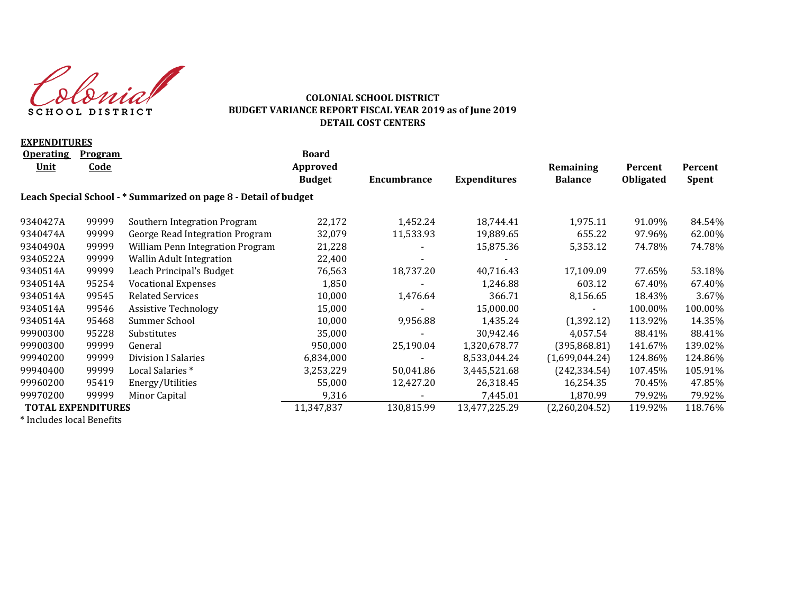Colonial **SCHOOL DISTRICT** 

#### **COLONIAL SCHOOL DISTRICT BUDGET VARIANCE REPORT FISCAL YEAR 2019 as of June 2019 DETAIL COST CENTERS**

| <b>EXPENDITURES</b>       |                |                                                                  |               |                          |                     |                |                  |              |
|---------------------------|----------------|------------------------------------------------------------------|---------------|--------------------------|---------------------|----------------|------------------|--------------|
| <b>Operating</b>          | <b>Program</b> |                                                                  | <b>Board</b>  |                          |                     |                |                  |              |
| <u>Unit</u>               | <b>Code</b>    |                                                                  | Approved      |                          |                     | Remaining      | Percent          | Percent      |
|                           |                |                                                                  | <b>Budget</b> | Encumbrance              | <b>Expenditures</b> | <b>Balance</b> | <b>Obligated</b> | <b>Spent</b> |
|                           |                | Leach Special School - * Summarized on page 8 - Detail of budget |               |                          |                     |                |                  |              |
| 9340427A                  | 99999          | Southern Integration Program                                     | 22,172        | 1,452.24                 | 18,744.41           | 1,975.11       | 91.09%           | 84.54%       |
| 9340474A                  | 99999          | George Read Integration Program                                  | 32,079        | 11,533.93                | 19,889.65           | 655.22         | 97.96%           | 62.00%       |
| 9340490A                  | 99999          | William Penn Integration Program                                 | 21,228        |                          | 15,875.36           | 5,353.12       | 74.78%           | 74.78%       |
| 9340522A                  | 99999          | <b>Wallin Adult Integration</b>                                  | 22,400        |                          |                     |                |                  |              |
| 9340514A                  | 99999          | Leach Principal's Budget                                         | 76,563        | 18,737.20                | 40,716.43           | 17,109.09      | 77.65%           | 53.18%       |
| 9340514A                  | 95254          | <b>Vocational Expenses</b>                                       | 1,850         |                          | 1,246.88            | 603.12         | 67.40%           | 67.40%       |
| 9340514A                  | 99545          | <b>Related Services</b>                                          | 10,000        | 1,476.64                 | 366.71              | 8,156.65       | 18.43%           | 3.67%        |
| 9340514A                  | 99546          | <b>Assistive Technology</b>                                      | 15,000        |                          | 15,000.00           |                | 100.00%          | 100.00%      |
| 9340514A                  | 95468          | Summer School                                                    | 10,000        | 9,956.88                 | 1,435.24            | (1, 392.12)    | 113.92%          | 14.35%       |
| 99900300                  | 95228          | Substitutes                                                      | 35,000        |                          | 30,942.46           | 4,057.54       | 88.41%           | 88.41%       |
| 99900300                  | 99999          | General                                                          | 950,000       | 25,190.04                | 1,320,678.77        | (395,868.81)   | 141.67%          | 139.02%      |
| 99940200                  | 99999          | Division I Salaries                                              | 6,834,000     |                          | 8,533,044.24        | (1,699,044.24) | 124.86%          | 124.86%      |
| 99940400                  | 99999          | Local Salaries <sup>*</sup>                                      | 3,253,229     | 50,041.86                | 3,445,521.68        | (242, 334.54)  | 107.45%          | 105.91%      |
| 99960200                  | 95419          | Energy/Utilities                                                 | 55,000        | 12,427.20                | 26,318.45           | 16,254.35      | 70.45%           | 47.85%       |
| 99970200                  | 99999          | Minor Capital                                                    | 9,316         | $\overline{\phantom{a}}$ | 7,445.01            | 1,870.99       | 79.92%           | 79.92%       |
| <b>TOTAL EXPENDITURES</b> |                |                                                                  | 11,347,837    | 130,815.99               | 13,477,225.29       | (2,260,204.52) | 119.92%          | 118.76%      |
|                           |                |                                                                  |               |                          |                     |                |                  |              |

\* Includes local Benefits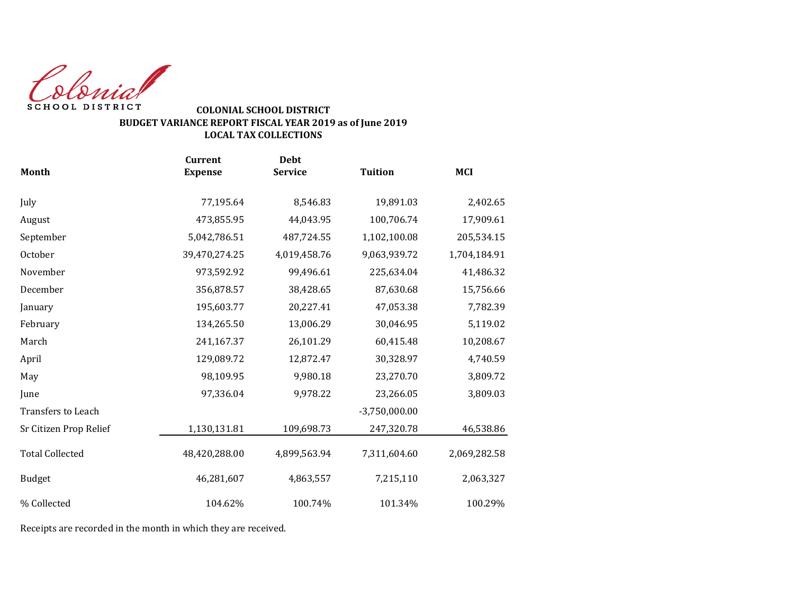Colonial SCHOOL DISTRICT

## **BUDGET VARIANCE REPORT FISCAL YEAR 2019 as of June 2019 LOCAL TAX COLLECTIONS COLONIAL SCHOOL DISTRICT**

| <b>Month</b>           | <b>Current</b><br><b>Expense</b> | <b>Debt</b><br><b>Service</b> | <b>Tuition</b>  | <b>MCI</b>   |
|------------------------|----------------------------------|-------------------------------|-----------------|--------------|
| July                   | 77,195.64                        | 8,546.83                      | 19,891.03       | 2,402.65     |
| August                 | 473,855.95                       | 44,043.95                     | 100,706.74      | 17,909.61    |
| September              | 5,042,786.51                     | 487,724.55                    | 1,102,100.08    | 205,534.15   |
| October                | 39,470,274.25                    | 4,019,458.76                  | 9,063,939.72    | 1,704,184.91 |
| November               | 973,592.92                       | 99,496.61                     | 225,634.04      | 41,486.32    |
| December               | 356,878.57                       | 38,428.65                     | 87,630.68       | 15,756.66    |
| January                | 195,603.77                       | 20,227.41                     | 47,053.38       | 7,782.39     |
| February               | 134,265.50                       | 13,006.29                     | 30,046.95       | 5,119.02     |
| March                  | 241,167.37                       | 26,101.29                     | 60,415.48       | 10,208.67    |
| April                  | 129,089.72                       | 12,872.47                     | 30,328.97       | 4,740.59     |
| May                    | 98,109.95                        | 9,980.18                      | 23,270.70       | 3,809.72     |
| June                   | 97,336.04                        | 9,978.22                      | 23,266.05       | 3,809.03     |
| Transfers to Leach     |                                  |                               | $-3,750,000.00$ |              |
| Sr Citizen Prop Relief | 1,130,131.81                     | 109,698.73                    | 247,320.78      | 46,538.86    |
| <b>Total Collected</b> | 48,420,288.00                    | 4,899,563.94                  | 7,311,604.60    | 2,069,282.58 |
| <b>Budget</b>          | 46,281,607                       | 4,863,557                     | 7,215,110       | 2,063,327    |
| % Collected            | 104.62%                          | 100.74%                       | 101.34%         | 100.29%      |

Receipts are recorded in the month in which they are received.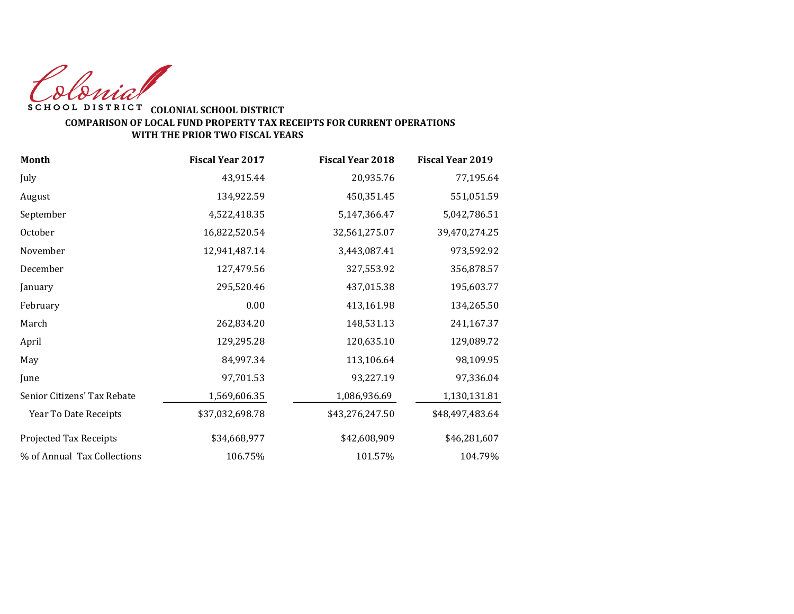Colonial

## **WITH THE PRIOR TWO FISCAL YEARS** SCHOOL DISTRICT COLONIAL SCHOOL DISTRICT **COMPARISON OF LOCAL FUND PROPERTY TAX RECEIPTS FOR CURRENT OPERATIONS**

| <b>Month</b>                | <b>Fiscal Year 2017</b> | <b>Fiscal Year 2018</b> | <b>Fiscal Year 2019</b> |
|-----------------------------|-------------------------|-------------------------|-------------------------|
| July                        | 43,915.44               | 20,935.76               | 77,195.64               |
| August                      | 134,922.59              | 450,351.45              | 551,051.59              |
| September                   | 4,522,418.35            | 5,147,366.47            | 5,042,786.51            |
| October                     | 16,822,520.54           | 32,561,275.07           | 39,470,274.25           |
| November                    | 12,941,487.14           | 3,443,087.41            | 973,592.92              |
| December                    | 127,479.56              | 327,553.92              | 356,878.57              |
| January                     | 295,520.46              | 437,015.38              | 195,603.77              |
| February                    | 0.00                    | 413,161.98              | 134,265.50              |
| March                       | 262,834.20              | 148,531.13              | 241,167.37              |
| April                       | 129,295.28              | 120,635.10              | 129,089.72              |
| May                         | 84,997.34               | 113,106.64              | 98,109.95               |
| June                        | 97,701.53               | 93,227.19               | 97,336.04               |
| Senior Citizens' Tax Rebate | 1,569,606.35            | 1,086,936.69            | 1,130,131.81            |
| Year To Date Receipts       | \$37,032,698.78         | \$43,276,247.50         | \$48,497,483.64         |
| Projected Tax Receipts      | \$34,668,977            | \$42,608,909            | \$46,281,607            |
| % of Annual Tax Collections | 106.75%                 | 101.57%                 | 104.79%                 |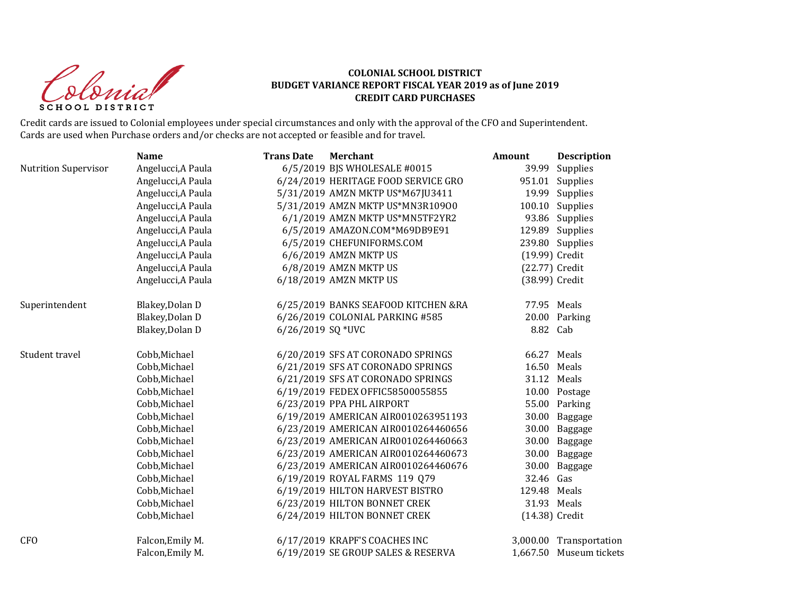donial SCHOOL DISTRICT

|                             | <b>Name</b>        | <b>Trans Date</b> | <b>Merchant</b>                     | Amount         | <b>Description</b>      |
|-----------------------------|--------------------|-------------------|-------------------------------------|----------------|-------------------------|
| <b>Nutrition Supervisor</b> | Angelucci, A Paula |                   | 6/5/2019 BJS WHOLESALE #0015        | 39.99          | Supplies                |
|                             | Angelucci, A Paula |                   | 6/24/2019 HERITAGE FOOD SERVICE GRO |                | 951.01 Supplies         |
|                             | Angelucci, A Paula |                   | 5/31/2019 AMZN MKTP US*M67JU3411    |                | 19.99 Supplies          |
|                             | Angelucci, A Paula |                   | 5/31/2019 AMZN MKTP US*MN3R10900    |                | 100.10 Supplies         |
|                             | Angelucci, A Paula |                   | 6/1/2019 AMZN MKTP US*MN5TF2YR2     |                | 93.86 Supplies          |
|                             | Angelucci, A Paula |                   | 6/5/2019 AMAZON.COM*M69DB9E91       |                | 129.89 Supplies         |
|                             | Angelucci, A Paula |                   | 6/5/2019 CHEFUNIFORMS.COM           |                | 239.80 Supplies         |
|                             | Angelucci, A Paula |                   | 6/6/2019 AMZN MKTP US               | (19.99) Credit |                         |
|                             | Angelucci, A Paula |                   | 6/8/2019 AMZN MKTP US               | (22.77) Credit |                         |
|                             | Angelucci, A Paula |                   | 6/18/2019 AMZN MKTP US              | (38.99) Credit |                         |
| Superintendent              | Blakey, Dolan D    |                   | 6/25/2019 BANKS SEAFOOD KITCHEN &RA | 77.95 Meals    |                         |
|                             | Blakey, Dolan D    |                   | 6/26/2019 COLONIAL PARKING #585     |                | 20.00 Parking           |
|                             | Blakey, Dolan D    | 6/26/2019 SQ *UVC |                                     | 8.82 Cab       |                         |
| Student travel              | Cobb, Michael      |                   | 6/20/2019 SFS AT CORONADO SPRINGS   | 66.27          | Meals                   |
|                             | Cobb, Michael      |                   | 6/21/2019 SFS AT CORONADO SPRINGS   | 16.50 Meals    |                         |
|                             | Cobb, Michael      |                   | 6/21/2019 SFS AT CORONADO SPRINGS   | 31.12 Meals    |                         |
|                             | Cobb, Michael      |                   | 6/19/2019 FEDEX OFFIC58500055855    |                | 10.00 Postage           |
|                             | Cobb, Michael      |                   | 6/23/2019 PPA PHL AIRPORT           |                | 55.00 Parking           |
|                             | Cobb, Michael      |                   | 6/19/2019 AMERICAN AIR0010263951193 | 30.00          | Baggage                 |
|                             | Cobb, Michael      |                   | 6/23/2019 AMERICAN AIR0010264460656 |                | 30.00 Baggage           |
|                             | Cobb, Michael      |                   | 6/23/2019 AMERICAN AIR0010264460663 |                | 30.00 Baggage           |
|                             | Cobb, Michael      |                   | 6/23/2019 AMERICAN AIR0010264460673 |                | 30.00 Baggage           |
|                             | Cobb, Michael      |                   | 6/23/2019 AMERICAN AIR0010264460676 | 30.00          | Baggage                 |
|                             | Cobb, Michael      |                   | 6/19/2019 ROYAL FARMS 119 Q79       | 32.46 Gas      |                         |
|                             | Cobb, Michael      |                   | 6/19/2019 HILTON HARVEST BISTRO     | 129.48 Meals   |                         |
|                             | Cobb, Michael      |                   | 6/23/2019 HILTON BONNET CREK        | 31.93 Meals    |                         |
|                             | Cobb, Michael      |                   | 6/24/2019 HILTON BONNET CREK        | (14.38) Credit |                         |
| <b>CFO</b>                  | Falcon, Emily M.   |                   | 6/17/2019 KRAPF'S COACHES INC       |                | 3,000.00 Transportation |
|                             | Falcon, Emily M.   |                   | 6/19/2019 SE GROUP SALES & RESERVA  |                | 1,667.50 Museum tickets |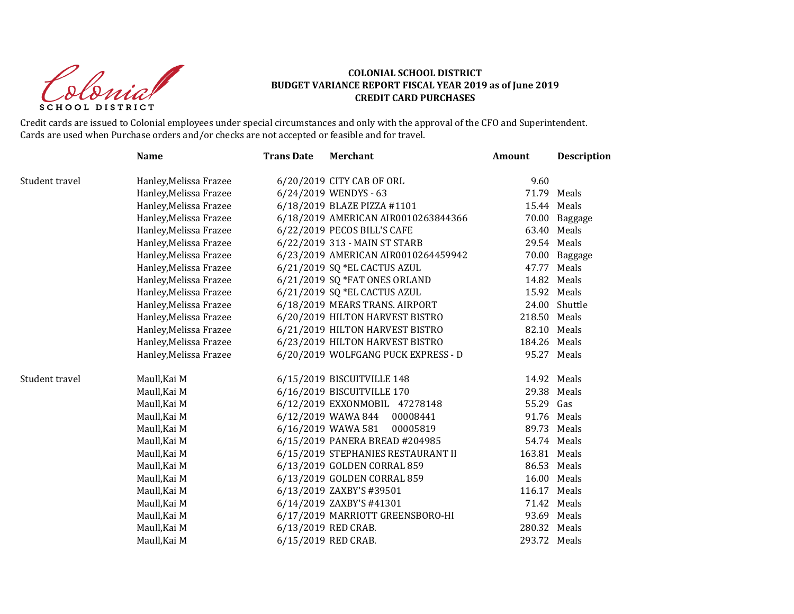donial SCHOOL DISTRICT

|                | <b>Name</b>            | <b>Trans Date</b> | <b>Merchant</b>                     | Amount       | Description   |
|----------------|------------------------|-------------------|-------------------------------------|--------------|---------------|
| Student travel | Hanley, Melissa Frazee |                   | 6/20/2019 CITY CAB OF ORL           | 9.60         |               |
|                | Hanley, Melissa Frazee |                   | 6/24/2019 WENDYS - 63               |              | 71.79 Meals   |
|                | Hanley, Melissa Frazee |                   | 6/18/2019 BLAZE PIZZA #1101         |              | 15.44 Meals   |
|                | Hanley, Melissa Frazee |                   | 6/18/2019 AMERICAN AIR0010263844366 |              | 70.00 Baggage |
|                | Hanley, Melissa Frazee |                   | 6/22/2019 PECOS BILL'S CAFE         |              | 63.40 Meals   |
|                | Hanley, Melissa Frazee |                   | 6/22/2019 313 - MAIN ST STARB       |              | 29.54 Meals   |
|                | Hanley, Melissa Frazee |                   | 6/23/2019 AMERICAN AIR0010264459942 |              | 70.00 Baggage |
|                | Hanley, Melissa Frazee |                   | 6/21/2019 SQ *EL CACTUS AZUL        | 47.77        | Meals         |
|                | Hanley, Melissa Frazee |                   | 6/21/2019 SQ *FAT ONES ORLAND       |              | 14.82 Meals   |
|                | Hanley, Melissa Frazee |                   | 6/21/2019 SQ *EL CACTUS AZUL        |              | 15.92 Meals   |
|                | Hanley, Melissa Frazee |                   | 6/18/2019 MEARS TRANS. AIRPORT      |              | 24.00 Shuttle |
|                | Hanley, Melissa Frazee |                   | 6/20/2019 HILTON HARVEST BISTRO     | 218.50 Meals |               |
|                | Hanley, Melissa Frazee |                   | 6/21/2019 HILTON HARVEST BISTRO     |              | 82.10 Meals   |
|                | Hanley, Melissa Frazee |                   | 6/23/2019 HILTON HARVEST BISTRO     | 184.26 Meals |               |
|                | Hanley, Melissa Frazee |                   | 6/20/2019 WOLFGANG PUCK EXPRESS - D |              | 95.27 Meals   |
| Student travel | Maull, Kai M           |                   | 6/15/2019 BISCUITVILLE 148          |              | 14.92 Meals   |
|                | Maull, Kai M           |                   | 6/16/2019 BISCUITVILLE 170          | 29.38        | Meals         |
|                | Maull, Kai M           |                   | 6/12/2019 EXXONMOBIL 47278148       | 55.29 Gas    |               |
|                | Maull, Kai M           |                   | 6/12/2019 WAWA 844 00008441         |              | 91.76 Meals   |
|                | Maull, Kai M           |                   | 6/16/2019 WAWA 581<br>00005819      |              | 89.73 Meals   |
|                | Maull, Kai M           |                   | 6/15/2019 PANERA BREAD #204985      |              | 54.74 Meals   |
|                | Maull, Kai M           |                   | 6/15/2019 STEPHANIES RESTAURANT II  | 163.81 Meals |               |
|                | Maull, Kai M           |                   | 6/13/2019 GOLDEN CORRAL 859         |              | 86.53 Meals   |
|                | Maull, Kai M           |                   | 6/13/2019 GOLDEN CORRAL 859         |              | 16.00 Meals   |
|                | Maull, Kai M           |                   | 6/13/2019 ZAXBY'S #39501            | 116.17 Meals |               |
|                | Maull, Kai M           |                   | 6/14/2019 ZAXBY'S #41301            |              | 71.42 Meals   |
|                | Maull, Kai M           |                   | 6/17/2019 MARRIOTT GREENSBORO-HI    |              | 93.69 Meals   |
|                | Maull, Kai M           |                   | 6/13/2019 RED CRAB.                 | 280.32 Meals |               |
|                | Maull, Kai M           |                   | 6/15/2019 RED CRAB.                 | 293.72 Meals |               |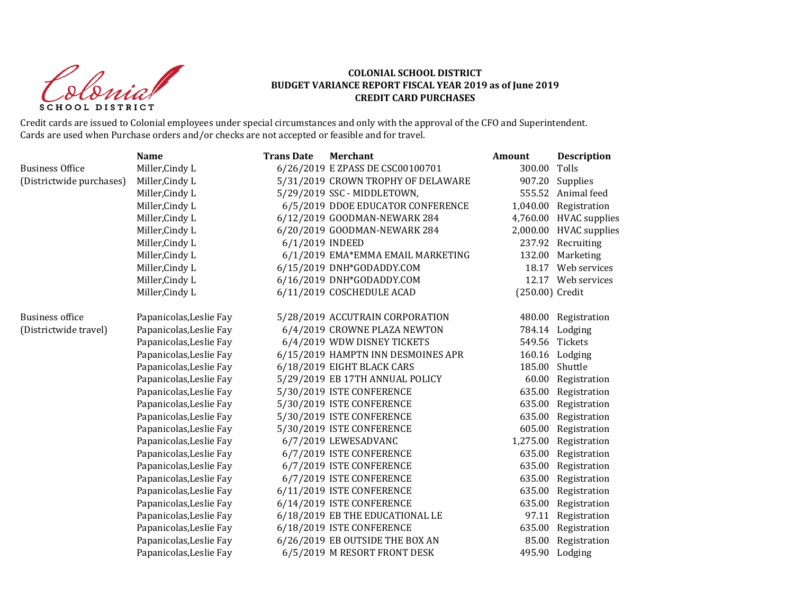donial SCHOOL DISTRICT

|                          | <b>Name</b>             | <b>Trans Date</b> | <b>Merchant</b>                    | <b>Amount</b>   | <b>Description</b>     |
|--------------------------|-------------------------|-------------------|------------------------------------|-----------------|------------------------|
| <b>Business Office</b>   | Miller, Cindy L         |                   | 6/26/2019 E ZPASS DE CSC00100701   | 300.00          | Tolls                  |
| (Districtwide purchases) | Miller, Cindy L         |                   | 5/31/2019 CROWN TROPHY OF DELAWARE | 907.20          | Supplies               |
|                          | Miller, Cindy L         |                   | 5/29/2019 SSC - MIDDLETOWN,        |                 | 555.52 Animal feed     |
|                          | Miller, Cindy L         |                   | 6/5/2019 DDOE EDUCATOR CONFERENCE  |                 | 1,040.00 Registration  |
|                          | Miller, Cindy L         |                   | 6/12/2019 GOODMAN-NEWARK 284       |                 | 4,760.00 HVAC supplies |
|                          | Miller, Cindy L         |                   | 6/20/2019 GOODMAN-NEWARK 284       |                 | 2,000.00 HVAC supplies |
|                          | Miller, Cindy L         | 6/1/2019 INDEED   |                                    |                 | 237.92 Recruiting      |
|                          | Miller, Cindy L         |                   | 6/1/2019 EMA*EMMA EMAIL MARKETING  | 132.00          | Marketing              |
|                          | Miller, Cindy L         |                   | 6/15/2019 DNH*GODADDY.COM          |                 | 18.17 Web services     |
|                          | Miller, Cindy L         |                   | 6/16/2019 DNH*GODADDY.COM          |                 | 12.17 Web services     |
|                          | Miller, Cindy L         |                   | 6/11/2019 COSCHEDULE ACAD          | (250.00) Credit |                        |
| <b>Business office</b>   | Papanicolas, Leslie Fay |                   | 5/28/2019 ACCUTRAIN CORPORATION    |                 | 480.00 Registration    |
| (Districtwide travel)    | Papanicolas, Leslie Fay |                   | 6/4/2019 CROWNE PLAZA NEWTON       |                 | 784.14 Lodging         |
|                          | Papanicolas, Leslie Fay |                   | 6/4/2019 WDW DISNEY TICKETS        |                 | 549.56 Tickets         |
|                          | Papanicolas, Leslie Fay |                   | 6/15/2019 HAMPTN INN DESMOINES APR |                 | 160.16 Lodging         |
|                          | Papanicolas, Leslie Fay |                   | 6/18/2019 EIGHT BLACK CARS         | 185.00          | Shuttle                |
|                          | Papanicolas, Leslie Fay |                   | 5/29/2019 EB 17TH ANNUAL POLICY    |                 | 60.00 Registration     |
|                          | Papanicolas, Leslie Fay |                   | 5/30/2019 ISTE CONFERENCE          | 635.00          | Registration           |
|                          | Papanicolas, Leslie Fay |                   | 5/30/2019 ISTE CONFERENCE          | 635.00          | Registration           |
|                          | Papanicolas, Leslie Fay |                   | 5/30/2019 ISTE CONFERENCE          | 635.00          | Registration           |
|                          | Papanicolas, Leslie Fay |                   | 5/30/2019 ISTE CONFERENCE          |                 | 605.00 Registration    |
|                          | Papanicolas, Leslie Fay |                   | 6/7/2019 LEWESADVANC               | 1,275.00        | Registration           |
|                          | Papanicolas, Leslie Fay |                   | 6/7/2019 ISTE CONFERENCE           | 635.00          | Registration           |
|                          | Papanicolas, Leslie Fay |                   | 6/7/2019 ISTE CONFERENCE           | 635.00          | Registration           |
|                          | Papanicolas, Leslie Fay |                   | 6/7/2019 ISTE CONFERENCE           | 635.00          | Registration           |
|                          | Papanicolas, Leslie Fay |                   | 6/11/2019 ISTE CONFERENCE          | 635.00          | Registration           |
|                          | Papanicolas, Leslie Fay |                   | 6/14/2019 ISTE CONFERENCE          | 635.00          | Registration           |
|                          | Papanicolas, Leslie Fay |                   | 6/18/2019 EB THE EDUCATIONAL LE    |                 | 97.11 Registration     |
|                          | Papanicolas, Leslie Fay |                   | 6/18/2019 ISTE CONFERENCE          | 635.00          | Registration           |
|                          | Papanicolas, Leslie Fay |                   | 6/26/2019 EB OUTSIDE THE BOX AN    | 85.00           | Registration           |
|                          | Papanicolas, Leslie Fay |                   | 6/5/2019 M RESORT FRONT DESK       |                 | 495.90 Lodging         |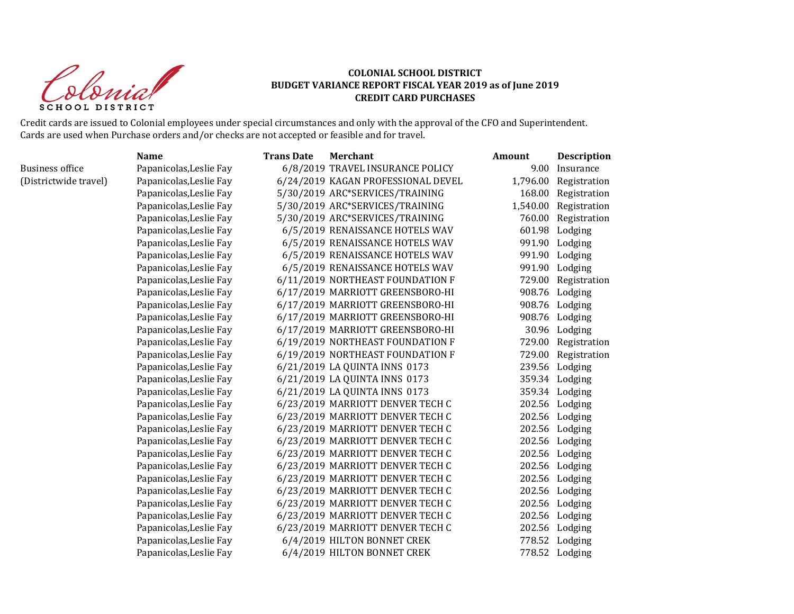donial SCHOOL DISTRICT

|                        | <b>Name</b>             | <b>Trans Date</b> | <b>Merchant</b>                    | Amount   | <b>Description</b>    |
|------------------------|-------------------------|-------------------|------------------------------------|----------|-----------------------|
| <b>Business office</b> | Papanicolas, Leslie Fay |                   | 6/8/2019 TRAVEL INSURANCE POLICY   | 9.00     | Insurance             |
| (Districtwide travel)  | Papanicolas, Leslie Fay |                   | 6/24/2019 KAGAN PROFESSIONAL DEVEL | 1,796.00 | Registration          |
|                        | Papanicolas, Leslie Fay |                   | 5/30/2019 ARC*SERVICES/TRAINING    | 168.00   | Registration          |
|                        | Papanicolas, Leslie Fay |                   | 5/30/2019 ARC*SERVICES/TRAINING    |          | 1,540.00 Registration |
|                        | Papanicolas, Leslie Fay |                   | 5/30/2019 ARC*SERVICES/TRAINING    | 760.00   | Registration          |
|                        | Papanicolas, Leslie Fay |                   | 6/5/2019 RENAISSANCE HOTELS WAV    | 601.98   | Lodging               |
|                        | Papanicolas, Leslie Fay |                   | 6/5/2019 RENAISSANCE HOTELS WAV    |          | 991.90 Lodging        |
|                        | Papanicolas, Leslie Fay |                   | 6/5/2019 RENAISSANCE HOTELS WAV    |          | 991.90 Lodging        |
|                        | Papanicolas, Leslie Fay |                   | 6/5/2019 RENAISSANCE HOTELS WAV    |          | 991.90 Lodging        |
|                        | Papanicolas, Leslie Fay |                   | 6/11/2019 NORTHEAST FOUNDATION F   |          | 729.00 Registration   |
|                        | Papanicolas, Leslie Fay |                   | 6/17/2019 MARRIOTT GREENSBORO-HI   |          | 908.76 Lodging        |
|                        | Papanicolas, Leslie Fay |                   | 6/17/2019 MARRIOTT GREENSBORO-HI   |          | 908.76 Lodging        |
|                        | Papanicolas, Leslie Fay |                   | 6/17/2019 MARRIOTT GREENSBORO-HI   | 908.76   | Lodging               |
|                        | Papanicolas, Leslie Fay |                   | 6/17/2019 MARRIOTT GREENSBORO-HI   |          | 30.96 Lodging         |
|                        | Papanicolas, Leslie Fay |                   | 6/19/2019 NORTHEAST FOUNDATION F   |          | 729.00 Registration   |
|                        | Papanicolas, Leslie Fay |                   | 6/19/2019 NORTHEAST FOUNDATION F   |          | 729.00 Registration   |
|                        | Papanicolas, Leslie Fay |                   | 6/21/2019 LA QUINTA INNS 0173      |          | 239.56 Lodging        |
|                        | Papanicolas, Leslie Fay |                   | 6/21/2019 LA QUINTA INNS 0173      |          | 359.34 Lodging        |
|                        | Papanicolas, Leslie Fay |                   | 6/21/2019 LA QUINTA INNS 0173      |          | 359.34 Lodging        |
|                        | Papanicolas, Leslie Fay |                   | 6/23/2019 MARRIOTT DENVER TECH C   |          | 202.56 Lodging        |
|                        | Papanicolas, Leslie Fay |                   | 6/23/2019 MARRIOTT DENVER TECH C   |          | 202.56 Lodging        |
|                        | Papanicolas, Leslie Fay |                   | 6/23/2019 MARRIOTT DENVER TECH C   |          | 202.56 Lodging        |
|                        | Papanicolas, Leslie Fay |                   | 6/23/2019 MARRIOTT DENVER TECH C   |          | 202.56 Lodging        |
|                        | Papanicolas, Leslie Fay |                   | 6/23/2019 MARRIOTT DENVER TECH C   |          | 202.56 Lodging        |
|                        | Papanicolas, Leslie Fay |                   | 6/23/2019 MARRIOTT DENVER TECH C   |          | 202.56 Lodging        |
|                        | Papanicolas, Leslie Fay |                   | 6/23/2019 MARRIOTT DENVER TECH C   |          | 202.56 Lodging        |
|                        | Papanicolas, Leslie Fay |                   | 6/23/2019 MARRIOTT DENVER TECH C   |          | 202.56 Lodging        |
|                        | Papanicolas, Leslie Fay |                   | 6/23/2019 MARRIOTT DENVER TECH C   |          | 202.56 Lodging        |
|                        | Papanicolas, Leslie Fay |                   | 6/23/2019 MARRIOTT DENVER TECH C   |          | 202.56 Lodging        |
|                        | Papanicolas, Leslie Fay |                   | 6/23/2019 MARRIOTT DENVER TECH C   |          | 202.56 Lodging        |
|                        | Papanicolas, Leslie Fay |                   | 6/4/2019 HILTON BONNET CREK        |          | 778.52 Lodging        |
|                        | Papanicolas, Leslie Fay |                   | 6/4/2019 HILTON BONNET CREK        |          | 778.52 Lodging        |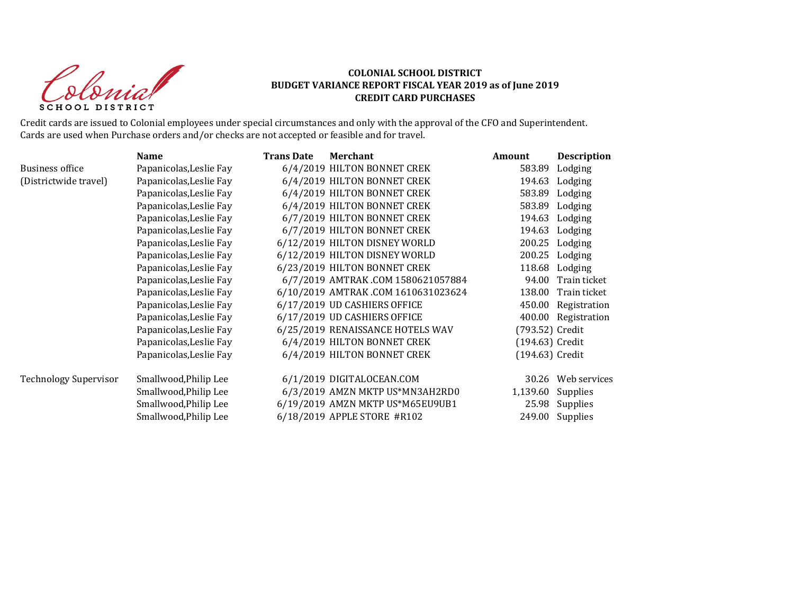Colonial SCHOOL DISTRICT

|                              | <b>Name</b>             | <b>Trans Date</b> | <b>Merchant</b>                    | Amount          | <b>Description</b>  |
|------------------------------|-------------------------|-------------------|------------------------------------|-----------------|---------------------|
| <b>Business office</b>       | Papanicolas, Leslie Fay |                   | 6/4/2019 HILTON BONNET CREK        | 583.89          | Lodging             |
| (Districtwide travel)        | Papanicolas, Leslie Fay |                   | 6/4/2019 HILTON BONNET CREK        | 194.63          | Lodging             |
|                              | Papanicolas, Leslie Fay |                   | 6/4/2019 HILTON BONNET CREK        | 583.89          | Lodging             |
|                              | Papanicolas, Leslie Fay |                   | 6/4/2019 HILTON BONNET CREK        | 583.89          | Lodging             |
|                              | Papanicolas, Leslie Fay |                   | 6/7/2019 HILTON BONNET CREK        | 194.63          | Lodging             |
|                              | Papanicolas, Leslie Fay |                   | 6/7/2019 HILTON BONNET CREK        | 194.63          | Lodging             |
|                              | Papanicolas, Leslie Fay |                   | 6/12/2019 HILTON DISNEY WORLD      | 200.25          | Lodging             |
|                              | Papanicolas, Leslie Fay |                   | 6/12/2019 HILTON DISNEY WORLD      | 200.25          | Lodging             |
|                              | Papanicolas, Leslie Fay |                   | 6/23/2019 HILTON BONNET CREK       | 118.68          | Lodging             |
|                              | Papanicolas, Leslie Fay |                   | 6/7/2019 AMTRAK.COM 1580621057884  | 94.00           | Train ticket        |
|                              | Papanicolas, Leslie Fay |                   | 6/10/2019 AMTRAK.COM 1610631023624 | 138.00          | Train ticket        |
|                              | Papanicolas, Leslie Fay |                   | 6/17/2019 UD CASHIERS OFFICE       | 450.00          | Registration        |
|                              | Papanicolas, Leslie Fay |                   | 6/17/2019 UD CASHIERS OFFICE       |                 | 400.00 Registration |
|                              | Papanicolas, Leslie Fay |                   | 6/25/2019 RENAISSANCE HOTELS WAV   | (793.52) Credit |                     |
|                              | Papanicolas, Leslie Fay |                   | 6/4/2019 HILTON BONNET CREK        | (194.63) Credit |                     |
|                              | Papanicolas, Leslie Fay |                   | 6/4/2019 HILTON BONNET CREK        | (194.63) Credit |                     |
| <b>Technology Supervisor</b> | Smallwood, Philip Lee   |                   | 6/1/2019 DIGITALOCEAN.COM          | 30.26           | Web services        |
|                              | Smallwood, Philip Lee   |                   | 6/3/2019 AMZN MKTP US*MN3AH2RD0    | 1,139.60        | Supplies            |
|                              | Smallwood, Philip Lee   |                   | 6/19/2019 AMZN MKTP US*M65EU9UB1   | 25.98           | Supplies            |
|                              | Smallwood, Philip Lee   |                   | 6/18/2019 APPLE STORE #R102        |                 | 249.00 Supplies     |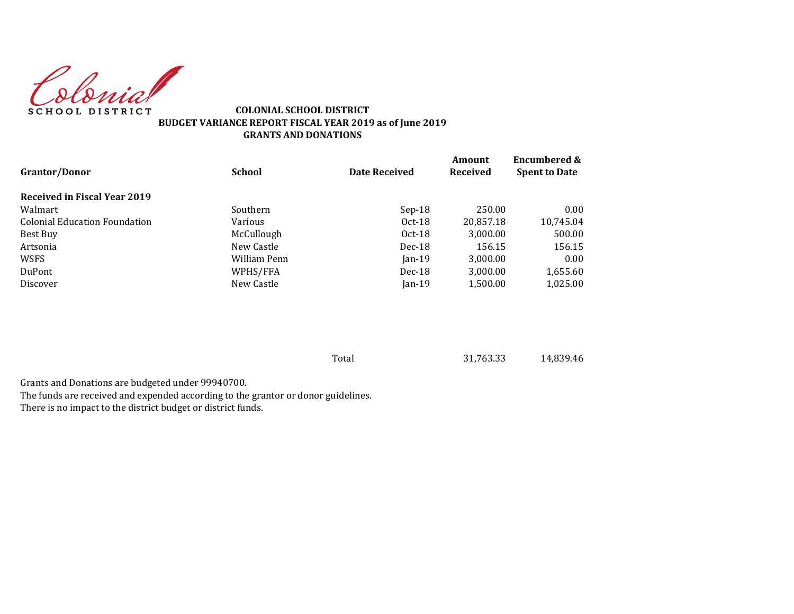Colonia **SCHOOL DISTRICT** 

#### **COLONIAL SCHOOL DISTRICT BUDGET VARIANCE REPORT FISCAL YEAR 2019 as of June 2019 GRANTS AND DONATIONS**

| <b>Grantor/Donor</b>          | <b>School</b> | <b>Date Received</b> | Amount<br><b>Received</b> | <b>Encumbered &amp;</b><br><b>Spent to Date</b> |
|-------------------------------|---------------|----------------------|---------------------------|-------------------------------------------------|
| Received in Fiscal Year 2019  |               |                      |                           |                                                 |
| Walmart                       | Southern      | $Sep-18$             | 250.00                    | 0.00                                            |
| Colonial Education Foundation | Various       | $Oct-18$             | 20,857.18                 | 10,745.04                                       |
| Best Buy                      | McCullough    | $Oct-18$             | 3,000.00                  | 500.00                                          |
| Artsonia                      | New Castle    | $Dec-18$             | 156.15                    | 156.15                                          |
| <b>WSFS</b>                   | William Penn  | $Jan-19$             | 3,000.00                  | 0.00                                            |
| DuPont                        | WPHS/FFA      | $Dec-18$             | 3.000.00                  | 1,655.60                                        |
| Discover                      | New Castle    | $Jan-19$             | 1,500.00                  | 1,025.00                                        |

Total 31,763.33 14,839.46

Grants and Donations are budgeted under 99940700. The funds are received and expended according to the grantor or donor guidelines. There is no impact to the district budget or district funds.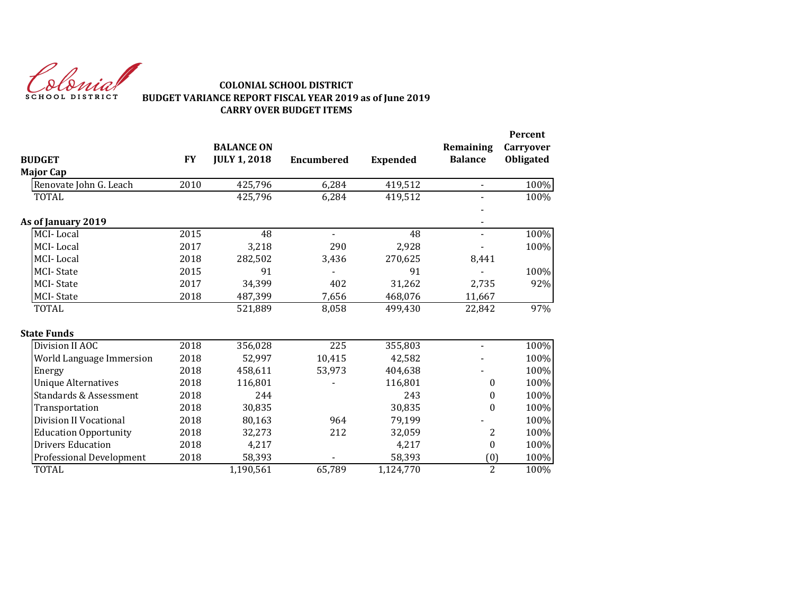

## **COLONIAL SCHOOL DISTRICT BUDGET VARIANCE REPORT FISCAL YEAR 2019 as of June 2019 CARRY OVER BUDGET ITEMS**

| <b>BUDGET</b>                     | <b>FY</b> | <b>BALANCE ON</b><br><b>JULY 1, 2018</b> | <b>Encumbered</b> |                 | Remaining<br><b>Balance</b> | Percent<br>Carryover<br>Obligated |
|-----------------------------------|-----------|------------------------------------------|-------------------|-----------------|-----------------------------|-----------------------------------|
| <b>Major Cap</b>                  |           |                                          |                   | <b>Expended</b> |                             |                                   |
|                                   | 2010      | 425,796                                  |                   |                 | $\blacksquare$              |                                   |
| Renovate John G. Leach            |           |                                          | 6,284             | 419,512         |                             | 100%                              |
| TOTAL                             |           | 425,796                                  | 6,284             | 419,512         |                             | 100%                              |
| As of January 2019                |           |                                          |                   |                 | $\blacksquare$              |                                   |
| MCI-Local                         | 2015      | 48                                       | $\blacksquare$    | 48              | $\blacksquare$              | 100%                              |
| MCI-Local                         | 2017      | 3,218                                    | 290               | 2,928           |                             | 100%                              |
| MCI-Local                         | 2018      | 282,502                                  | 3,436             | 270,625         | 8,441                       |                                   |
| <b>MCI-State</b>                  | 2015      | 91                                       |                   | 91              |                             | 100%                              |
| <b>MCI-State</b>                  | 2017      | 34,399                                   | 402               | 31,262          | 2,735                       | 92%                               |
| <b>MCI-State</b>                  | 2018      | 487,399                                  | 7,656             | 468,076         | 11,667                      |                                   |
| <b>TOTAL</b>                      |           | 521,889                                  | 8,058             | 499,430         | 22,842                      | 97%                               |
| <b>State Funds</b>                |           |                                          |                   |                 |                             |                                   |
| Division II AOC                   | 2018      | 356,028                                  | 225               | 355,803         | $\blacksquare$              | 100%                              |
| World Language Immersion          | 2018      | 52,997                                   | 10,415            | 42,582          |                             | 100%                              |
| Energy                            | 2018      | 458,611                                  | 53,973            | 404,638         |                             | 100%                              |
| <b>Unique Alternatives</b>        | 2018      | 116,801                                  |                   | 116,801         | $\bf{0}$                    | 100%                              |
| <b>Standards &amp; Assessment</b> | 2018      | 244                                      |                   | 243             | $\boldsymbol{0}$            | 100%                              |
| Transportation                    | 2018      | 30,835                                   |                   | 30,835          | $\boldsymbol{0}$            | 100%                              |
| Division II Vocational            | 2018      | 80,163                                   | 964               | 79,199          |                             | 100%                              |
| <b>Education Opportunity</b>      | 2018      | 32,273                                   | 212               | 32,059          | 2                           | 100%                              |
| <b>Drivers Education</b>          | 2018      | 4,217                                    |                   | 4,217           | $\bf{0}$                    | 100%                              |
| Professional Development          | 2018      | 58,393                                   |                   | 58,393          | (0)                         | 100%                              |
| <b>TOTAL</b>                      |           | 1,190,561                                | 65,789            | 1,124,770       | $\overline{2}$              | 100%                              |